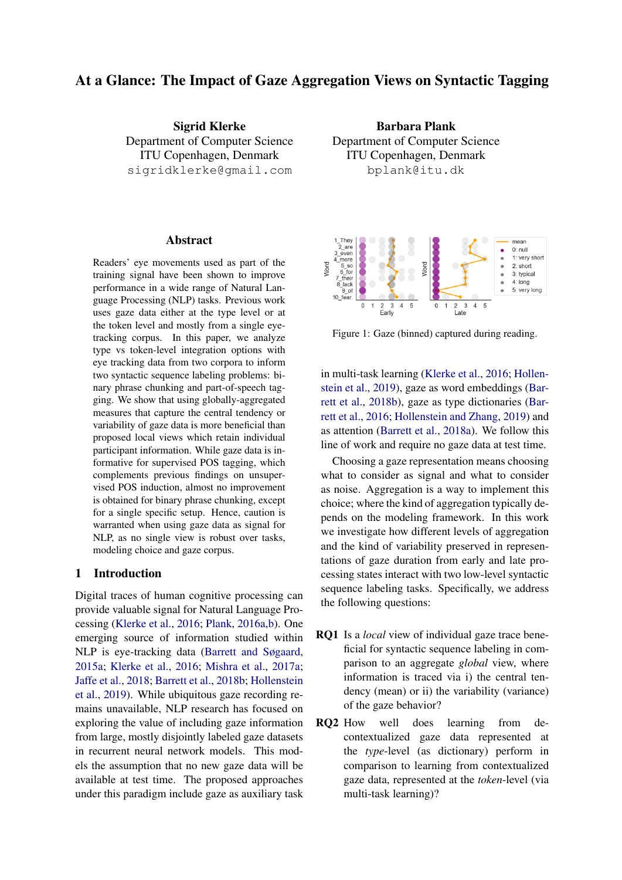# At a Glance: The Impact of Gaze Aggregation Views on Syntactic Tagging

Sigrid Klerke Department of Computer Science ITU Copenhagen, Denmark sigridklerke@gmail.com

#### Abstract

Readers' eye movements used as part of the training signal have been shown to improve performance in a wide range of Natural Language Processing (NLP) tasks. Previous work uses gaze data either at the type level or at the token level and mostly from a single eyetracking corpus. In this paper, we analyze type vs token-level integration options with eye tracking data from two corpora to inform two syntactic sequence labeling problems: binary phrase chunking and part-of-speech tagging. We show that using globally-aggregated measures that capture the central tendency or variability of gaze data is more beneficial than proposed local views which retain individual participant information. While gaze data is informative for supervised POS tagging, which complements previous findings on unsupervised POS induction, almost no improvement is obtained for binary phrase chunking, except for a single specific setup. Hence, caution is warranted when using gaze data as signal for NLP, as no single view is robust over tasks, modeling choice and gaze corpus.

#### 1 Introduction

Digital traces of human cognitive processing can provide valuable signal for Natural Language Processing [\(Klerke et al.,](#page-9-0) [2016;](#page-9-0) [Plank,](#page-9-1) [2016a,](#page-9-1)[b\)](#page-9-2). One emerging source of information studied within NLP is eye-tracking data [\(Barrett and Søgaard,](#page-8-0) [2015a;](#page-8-0) [Klerke et al.,](#page-9-0) [2016;](#page-9-0) [Mishra et al.,](#page-9-3) [2017a;](#page-9-3) [Jaffe et al.,](#page-9-4) [2018;](#page-9-4) [Barrett et al.,](#page-8-1) [2018b;](#page-8-1) [Hollenstein](#page-9-5) [et al.,](#page-9-5) [2019\)](#page-9-5). While ubiquitous gaze recording remains unavailable, NLP research has focused on exploring the value of including gaze information from large, mostly disjointly labeled gaze datasets in recurrent neural network models. This models the assumption that no new gaze data will be available at test time. The proposed approaches under this paradigm include gaze as auxiliary task

Barbara Plank Department of Computer Science ITU Copenhagen, Denmark bplank@itu.dk

<span id="page-0-0"></span>

Figure 1: Gaze (binned) captured during reading.

in multi-task learning [\(Klerke et al.,](#page-9-0) [2016;](#page-9-0) [Hollen](#page-9-5)[stein et al.,](#page-9-5) [2019\)](#page-9-5), gaze as word embeddings [\(Bar](#page-8-1)[rett et al.,](#page-8-1) [2018b\)](#page-8-1), gaze as type dictionaries [\(Bar](#page-8-2)[rett et al.,](#page-8-2) [2016;](#page-8-2) [Hollenstein and Zhang,](#page-9-6) [2019\)](#page-9-6) and as attention [\(Barrett et al.,](#page-8-3) [2018a\)](#page-8-3). We follow this line of work and require no gaze data at test time.

Choosing a gaze representation means choosing what to consider as signal and what to consider as noise. Aggregation is a way to implement this choice; where the kind of aggregation typically depends on the modeling framework. In this work we investigate how different levels of aggregation and the kind of variability preserved in representations of gaze duration from early and late processing states interact with two low-level syntactic sequence labeling tasks. Specifically, we address the following questions:

- RQ1 Is a *local* view of individual gaze trace beneficial for syntactic sequence labeling in comparison to an aggregate *global* view, where information is traced via i) the central tendency (mean) or ii) the variability (variance) of the gaze behavior?
- RQ2 How well does learning from decontextualized gaze data represented at the *type*-level (as dictionary) perform in comparison to learning from contextualized gaze data, represented at the *token*-level (via multi-task learning)?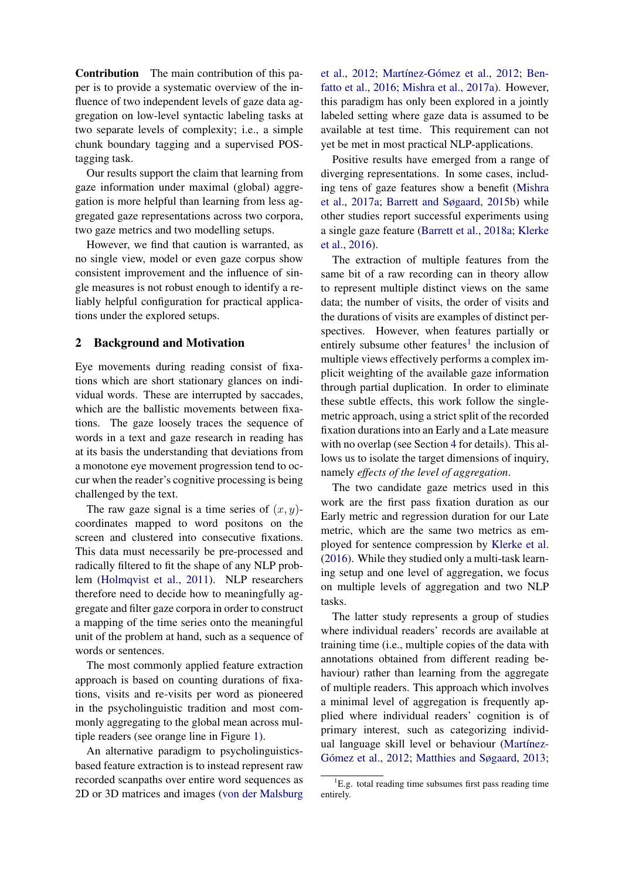Contribution The main contribution of this paper is to provide a systematic overview of the influence of two independent levels of gaze data aggregation on low-level syntactic labeling tasks at two separate levels of complexity; i.e., a simple chunk boundary tagging and a supervised POStagging task.

Our results support the claim that learning from gaze information under maximal (global) aggregation is more helpful than learning from less aggregated gaze representations across two corpora, two gaze metrics and two modelling setups.

However, we find that caution is warranted, as no single view, model or even gaze corpus show consistent improvement and the influence of single measures is not robust enough to identify a reliably helpful configuration for practical applications under the explored setups.

#### <span id="page-1-1"></span>2 Background and Motivation

Eye movements during reading consist of fixations which are short stationary glances on individual words. These are interrupted by saccades, which are the ballistic movements between fixations. The gaze loosely traces the sequence of words in a text and gaze research in reading has at its basis the understanding that deviations from a monotone eye movement progression tend to occur when the reader's cognitive processing is being challenged by the text.

The raw gaze signal is a time series of  $(x, y)$ coordinates mapped to word positons on the screen and clustered into consecutive fixations. This data must necessarily be pre-processed and radically filtered to fit the shape of any NLP problem [\(Holmqvist et al.,](#page-9-7) [2011\)](#page-9-7). NLP researchers therefore need to decide how to meaningfully aggregate and filter gaze corpora in order to construct a mapping of the time series onto the meaningful unit of the problem at hand, such as a sequence of words or sentences.

The most commonly applied feature extraction approach is based on counting durations of fixations, visits and re-visits per word as pioneered in the psycholinguistic tradition and most commonly aggregating to the global mean across multiple readers (see orange line in Figure [1\)](#page-0-0).

An alternative paradigm to psycholinguisticsbased feature extraction is to instead represent raw recorded scanpaths over entire word sequences as 2D or 3D matrices and images [\(von der Malsburg](#page-10-0)

[et al.,](#page-10-0) [2012;](#page-9-8) Martínez-Gómez et al., 2012; [Ben](#page-8-4)[fatto et al.,](#page-8-4) [2016;](#page-8-4) [Mishra et al.,](#page-9-3) [2017a\)](#page-9-3). However, this paradigm has only been explored in a jointly labeled setting where gaze data is assumed to be available at test time. This requirement can not yet be met in most practical NLP-applications.

Positive results have emerged from a range of diverging representations. In some cases, including tens of gaze features show a benefit [\(Mishra](#page-9-3) [et al.,](#page-9-3) [2017a;](#page-9-3) [Barrett and Søgaard,](#page-8-5) [2015b\)](#page-8-5) while other studies report successful experiments using a single gaze feature [\(Barrett et al.,](#page-8-3) [2018a;](#page-8-3) [Klerke](#page-9-0) [et al.,](#page-9-0) [2016\)](#page-9-0).

The extraction of multiple features from the same bit of a raw recording can in theory allow to represent multiple distinct views on the same data; the number of visits, the order of visits and the durations of visits are examples of distinct perspectives. However, when features partially or entirely subsume other features<sup>[1](#page-1-0)</sup> the inclusion of multiple views effectively performs a complex implicit weighting of the available gaze information through partial duplication. In order to eliminate these subtle effects, this work follow the singlemetric approach, using a strict split of the recorded fixation durations into an Early and a Late measure with no overlap (see Section [4](#page-2-0) for details). This allows us to isolate the target dimensions of inquiry, namely *effects of the level of aggregation*.

The two candidate gaze metrics used in this work are the first pass fixation duration as our Early metric and regression duration for our Late metric, which are the same two metrics as employed for sentence compression by [Klerke et al.](#page-9-0) [\(2016\)](#page-9-0). While they studied only a multi-task learning setup and one level of aggregation, we focus on multiple levels of aggregation and two NLP tasks.

The latter study represents a group of studies where individual readers' records are available at training time (i.e., multiple copies of the data with annotations obtained from different reading behaviour) rather than learning from the aggregate of multiple readers. This approach which involves a minimal level of aggregation is frequently applied where individual readers' cognition is of primary interest, such as categorizing individual language skill level or behaviour (Martínez-Gómez et al., [2012;](#page-9-8) [Matthies and Søgaard,](#page-9-9) [2013;](#page-9-9)

<span id="page-1-0"></span> ${}^{1}E.g.$  total reading time subsumes first pass reading time entirely.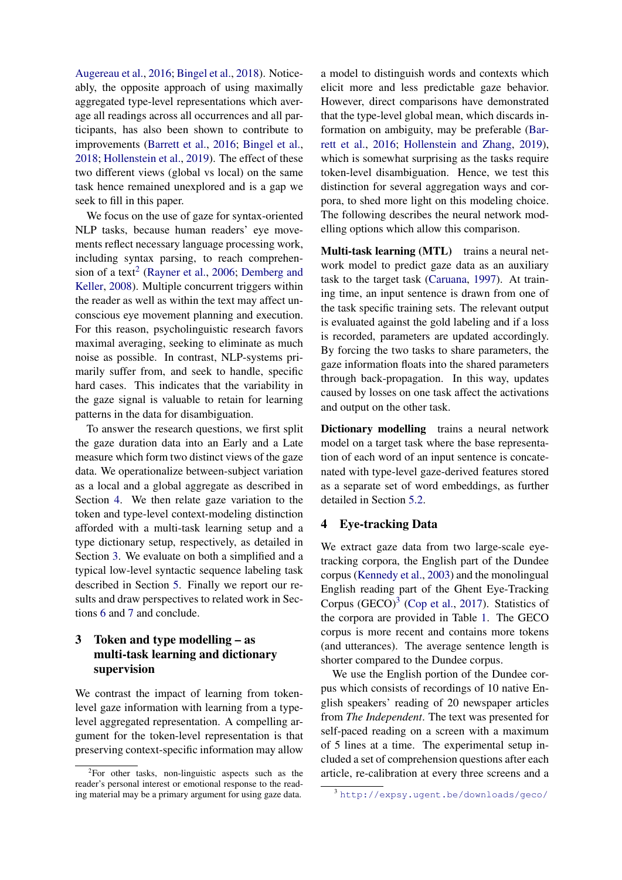[Augereau et al.,](#page-8-6) [2016;](#page-8-6) [Bingel et al.,](#page-8-7) [2018\)](#page-8-7). Noticeably, the opposite approach of using maximally aggregated type-level representations which average all readings across all occurrences and all participants, has also been shown to contribute to improvements [\(Barrett et al.,](#page-8-2) [2016;](#page-8-2) [Bingel et al.,](#page-8-7) [2018;](#page-8-7) [Hollenstein et al.,](#page-9-5) [2019\)](#page-9-5). The effect of these two different views (global vs local) on the same task hence remained unexplored and is a gap we seek to fill in this paper.

We focus on the use of gaze for syntax-oriented NLP tasks, because human readers' eye movements reflect necessary language processing work, including syntax parsing, to reach comprehen-sion of a text<sup>[2](#page-2-1)</sup> [\(Rayner et al.,](#page-9-10) [2006;](#page-9-10) [Demberg and](#page-9-11) [Keller,](#page-9-11) [2008\)](#page-9-11). Multiple concurrent triggers within the reader as well as within the text may affect unconscious eye movement planning and execution. For this reason, psycholinguistic research favors maximal averaging, seeking to eliminate as much noise as possible. In contrast, NLP-systems primarily suffer from, and seek to handle, specific hard cases. This indicates that the variability in the gaze signal is valuable to retain for learning patterns in the data for disambiguation.

To answer the research questions, we first split the gaze duration data into an Early and a Late measure which form two distinct views of the gaze data. We operationalize between-subject variation as a local and a global aggregate as described in Section [4.](#page-2-0) We then relate gaze variation to the token and type-level context-modeling distinction afforded with a multi-task learning setup and a type dictionary setup, respectively, as detailed in Section [3.](#page-2-2) We evaluate on both a simplified and a typical low-level syntactic sequence labeling task described in Section [5.](#page-4-0) Finally we report our results and draw perspectives to related work in Sections [6](#page-6-0) and [7](#page-7-0) and conclude.

## <span id="page-2-2"></span>3 Token and type modelling – as multi-task learning and dictionary supervision

We contrast the impact of learning from tokenlevel gaze information with learning from a typelevel aggregated representation. A compelling argument for the token-level representation is that preserving context-specific information may allow a model to distinguish words and contexts which elicit more and less predictable gaze behavior. However, direct comparisons have demonstrated that the type-level global mean, which discards information on ambiguity, may be preferable [\(Bar](#page-8-2)[rett et al.,](#page-8-2) [2016;](#page-8-2) [Hollenstein and Zhang,](#page-9-6) [2019\)](#page-9-6), which is somewhat surprising as the tasks require token-level disambiguation. Hence, we test this distinction for several aggregation ways and corpora, to shed more light on this modeling choice. The following describes the neural network modelling options which allow this comparison.

Multi-task learning (MTL) trains a neural network model to predict gaze data as an auxiliary task to the target task [\(Caruana,](#page-8-8) [1997\)](#page-8-8). At training time, an input sentence is drawn from one of the task specific training sets. The relevant output is evaluated against the gold labeling and if a loss is recorded, parameters are updated accordingly. By forcing the two tasks to share parameters, the gaze information floats into the shared parameters through back-propagation. In this way, updates caused by losses on one task affect the activations and output on the other task.

Dictionary modelling trains a neural network model on a target task where the base representation of each word of an input sentence is concatenated with type-level gaze-derived features stored as a separate set of word embeddings, as further detailed in Section [5.2.](#page-5-0)

## <span id="page-2-0"></span>4 Eye-tracking Data

We extract gaze data from two large-scale eyetracking corpora, the English part of the Dundee corpus [\(Kennedy et al.,](#page-9-12) [2003\)](#page-9-12) and the monolingual English reading part of the Ghent Eye-Tracking Corpus  $(GECO)^3$  $(GECO)^3$  [\(Cop et al.,](#page-9-13) [2017\)](#page-9-13). Statistics of the corpora are provided in Table [1.](#page-3-0) The GECO corpus is more recent and contains more tokens (and utterances). The average sentence length is shorter compared to the Dundee corpus.

We use the English portion of the Dundee corpus which consists of recordings of 10 native English speakers' reading of 20 newspaper articles from *The Independent*. The text was presented for self-paced reading on a screen with a maximum of 5 lines at a time. The experimental setup included a set of comprehension questions after each article, re-calibration at every three screens and a

<span id="page-2-1"></span><sup>&</sup>lt;sup>2</sup>For other tasks, non-linguistic aspects such as the reader's personal interest or emotional response to the reading material may be a primary argument for using gaze data.

<span id="page-2-3"></span><sup>3</sup> <http://expsy.ugent.be/downloads/geco/>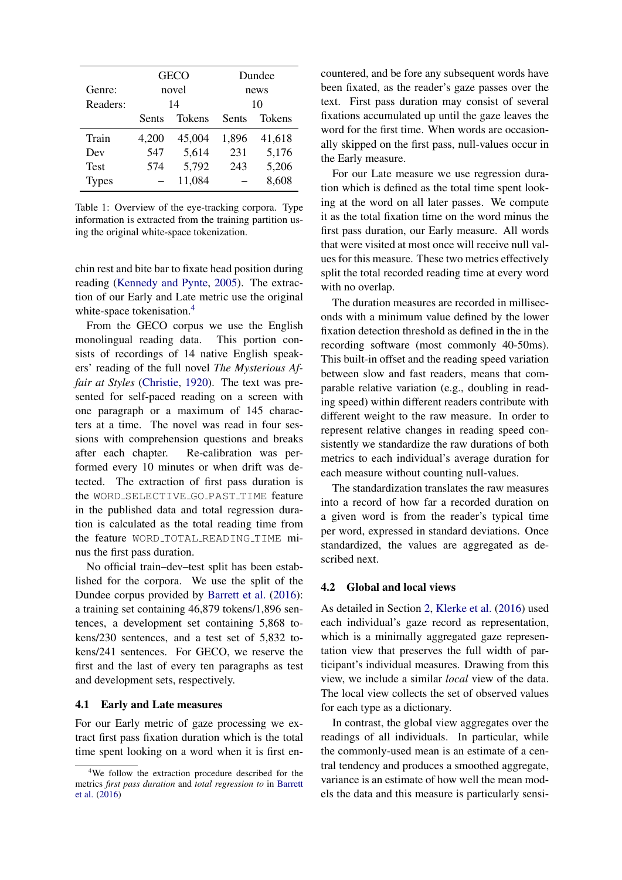<span id="page-3-0"></span>

|              |       | <b>GECO</b>   | Dundee |               |  |
|--------------|-------|---------------|--------|---------------|--|
| Genre:       | novel |               | news   |               |  |
| Readers:     | 14    |               | 10     |               |  |
|              | Sents | <b>Tokens</b> | Sents  | <b>Tokens</b> |  |
| Train        | 4,200 | 45,004        | 1,896  | 41,618        |  |
| Dev          | 547   | 5,614         | 231    | 5,176         |  |
| Test         | 574   | 5,792         | 243    | 5,206         |  |
| <b>Types</b> |       | 11,084        |        | 8,608         |  |

Table 1: Overview of the eye-tracking corpora. Type information is extracted from the training partition using the original white-space tokenization.

chin rest and bite bar to fixate head position during reading [\(Kennedy and Pynte,](#page-9-14) [2005\)](#page-9-14). The extraction of our Early and Late metric use the original white-space tokenisation.<sup>[4](#page-3-1)</sup>

From the GECO corpus we use the English monolingual reading data. This portion consists of recordings of 14 native English speakers' reading of the full novel *The Mysterious Affair at Styles* [\(Christie,](#page-9-15) [1920\)](#page-9-15). The text was presented for self-paced reading on a screen with one paragraph or a maximum of 145 characters at a time. The novel was read in four sessions with comprehension questions and breaks after each chapter. Re-calibration was performed every 10 minutes or when drift was detected. The extraction of first pass duration is the WORD\_SELECTIVE\_GO\_PAST\_TIME feature in the published data and total regression duration is calculated as the total reading time from the feature WORD TOTAL READING TIME minus the first pass duration.

No official train–dev–test split has been established for the corpora. We use the split of the Dundee corpus provided by [Barrett et al.](#page-8-2) [\(2016\)](#page-8-2): a training set containing 46,879 tokens/1,896 sentences, a development set containing 5,868 tokens/230 sentences, and a test set of 5,832 tokens/241 sentences. For GECO, we reserve the first and the last of every ten paragraphs as test and development sets, respectively.

#### 4.1 Early and Late measures

For our Early metric of gaze processing we extract first pass fixation duration which is the total time spent looking on a word when it is first encountered, and be fore any subsequent words have been fixated, as the reader's gaze passes over the text. First pass duration may consist of several fixations accumulated up until the gaze leaves the word for the first time. When words are occasionally skipped on the first pass, null-values occur in the Early measure.

For our Late measure we use regression duration which is defined as the total time spent looking at the word on all later passes. We compute it as the total fixation time on the word minus the first pass duration, our Early measure. All words that were visited at most once will receive null values for this measure. These two metrics effectively split the total recorded reading time at every word with no overlap.

The duration measures are recorded in milliseconds with a minimum value defined by the lower fixation detection threshold as defined in the in the recording software (most commonly 40-50ms). This built-in offset and the reading speed variation between slow and fast readers, means that comparable relative variation (e.g., doubling in reading speed) within different readers contribute with different weight to the raw measure. In order to represent relative changes in reading speed consistently we standardize the raw durations of both metrics to each individual's average duration for each measure without counting null-values.

The standardization translates the raw measures into a record of how far a recorded duration on a given word is from the reader's typical time per word, expressed in standard deviations. Once standardized, the values are aggregated as described next.

#### 4.2 Global and local views

As detailed in Section [2,](#page-1-1) [Klerke et al.](#page-9-0) [\(2016\)](#page-9-0) used each individual's gaze record as representation, which is a minimally aggregated gaze representation view that preserves the full width of participant's individual measures. Drawing from this view, we include a similar *local* view of the data. The local view collects the set of observed values for each type as a dictionary.

In contrast, the global view aggregates over the readings of all individuals. In particular, while the commonly-used mean is an estimate of a central tendency and produces a smoothed aggregate, variance is an estimate of how well the mean models the data and this measure is particularly sensi-

<span id="page-3-1"></span><sup>4</sup>We follow the extraction procedure described for the metrics *first pass duration* and *total regression to* in [Barrett](#page-8-2) [et al.](#page-8-2) [\(2016\)](#page-8-2)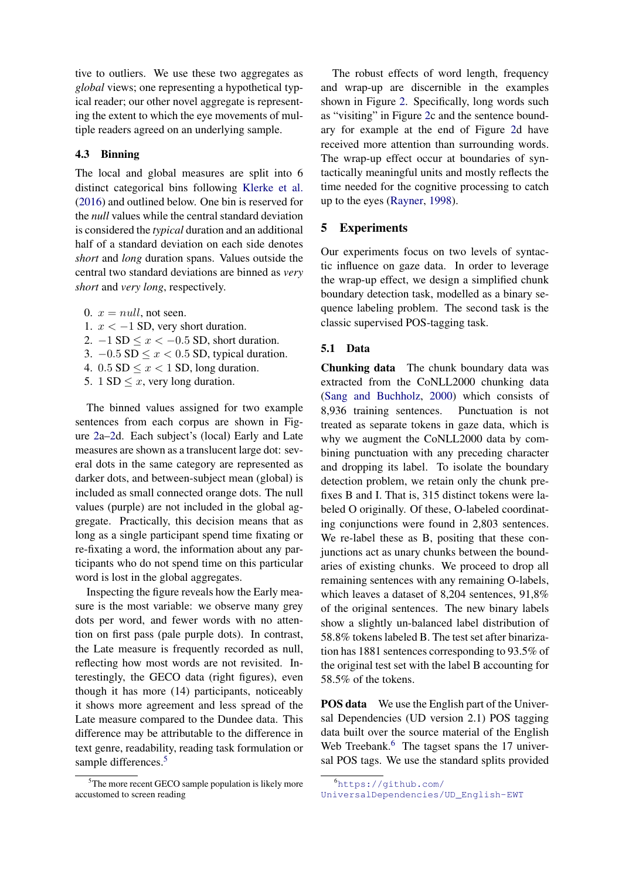tive to outliers. We use these two aggregates as *global* views; one representing a hypothetical typical reader; our other novel aggregate is representing the extent to which the eye movements of multiple readers agreed on an underlying sample.

#### 4.3 Binning

The local and global measures are split into 6 distinct categorical bins following [Klerke et al.](#page-9-0) [\(2016\)](#page-9-0) and outlined below. One bin is reserved for the *null* values while the central standard deviation is considered the *typical* duration and an additional half of a standard deviation on each side denotes *short* and *long* duration spans. Values outside the central two standard deviations are binned as *very short* and *very long*, respectively.

0.  $x = null$ , not seen.

1.  $x < -1$  SD, very short duration.

2.  $-1$  SD  $\leq x < -0.5$  SD, short duration.

3.  $-0.5$  SD  $\leq x < 0.5$  SD, typical duration.

4.  $0.5$  SD  $\leq x < 1$  SD, long duration.

5. 1 SD  $\leq x$ , very long duration.

The binned values assigned for two example sentences from each corpus are shown in Figure [2a–2d](#page-5-1). Each subject's (local) Early and Late measures are shown as a translucent large dot: several dots in the same category are represented as darker dots, and between-subject mean (global) is included as small connected orange dots. The null values (purple) are not included in the global aggregate. Practically, this decision means that as long as a single participant spend time fixating or re-fixating a word, the information about any participants who do not spend time on this particular word is lost in the global aggregates.

Inspecting the figure reveals how the Early measure is the most variable: we observe many grey dots per word, and fewer words with no attention on first pass (pale purple dots). In contrast, the Late measure is frequently recorded as null, reflecting how most words are not revisited. Interestingly, the GECO data (right figures), even though it has more (14) participants, noticeably it shows more agreement and less spread of the Late measure compared to the Dundee data. This difference may be attributable to the difference in text genre, readability, reading task formulation or sample differences.<sup>[5](#page-4-1)</sup>

The robust effects of word length, frequency and wrap-up are discernible in the examples shown in Figure [2.](#page-5-1) Specifically, long words such as "visiting" in Figure [2c](#page-5-1) and the sentence boundary for example at the end of Figure [2d](#page-5-1) have received more attention than surrounding words. The wrap-up effect occur at boundaries of syntactically meaningful units and mostly reflects the time needed for the cognitive processing to catch up to the eyes [\(Rayner,](#page-9-16) [1998\)](#page-9-16).

## <span id="page-4-0"></span>5 Experiments

Our experiments focus on two levels of syntactic influence on gaze data. In order to leverage the wrap-up effect, we design a simplified chunk boundary detection task, modelled as a binary sequence labeling problem. The second task is the classic supervised POS-tagging task.

#### 5.1 Data

Chunking data The chunk boundary data was extracted from the CoNLL2000 chunking data [\(Sang and Buchholz,](#page-10-1) [2000\)](#page-10-1) which consists of 8,936 training sentences. Punctuation is not treated as separate tokens in gaze data, which is why we augment the CoNLL2000 data by combining punctuation with any preceding character and dropping its label. To isolate the boundary detection problem, we retain only the chunk prefixes B and I. That is, 315 distinct tokens were labeled O originally. Of these, O-labeled coordinating conjunctions were found in 2,803 sentences. We re-label these as B, positing that these conjunctions act as unary chunks between the boundaries of existing chunks. We proceed to drop all remaining sentences with any remaining O-labels, which leaves a dataset of 8,204 sentences, 91,8% of the original sentences. The new binary labels show a slightly un-balanced label distribution of 58.8% tokens labeled B. The test set after binarization has 1881 sentences corresponding to 93.5% of the original test set with the label B accounting for 58.5% of the tokens.

POS data We use the English part of the Universal Dependencies (UD version 2.1) POS tagging data built over the source material of the English Web Treebank.<sup>[6](#page-4-2)</sup> The tagset spans the 17 universal POS tags. We use the standard splits provided

<span id="page-4-1"></span><sup>&</sup>lt;sup>5</sup>The more recent GECO sample population is likely more accustomed to screen reading

<span id="page-4-2"></span><sup>6</sup>[https://github.com/](https://github.com/UniversalDependencies/UD_English-EWT)

[UniversalDependencies/UD\\_English-EWT](https://github.com/UniversalDependencies/UD_English-EWT)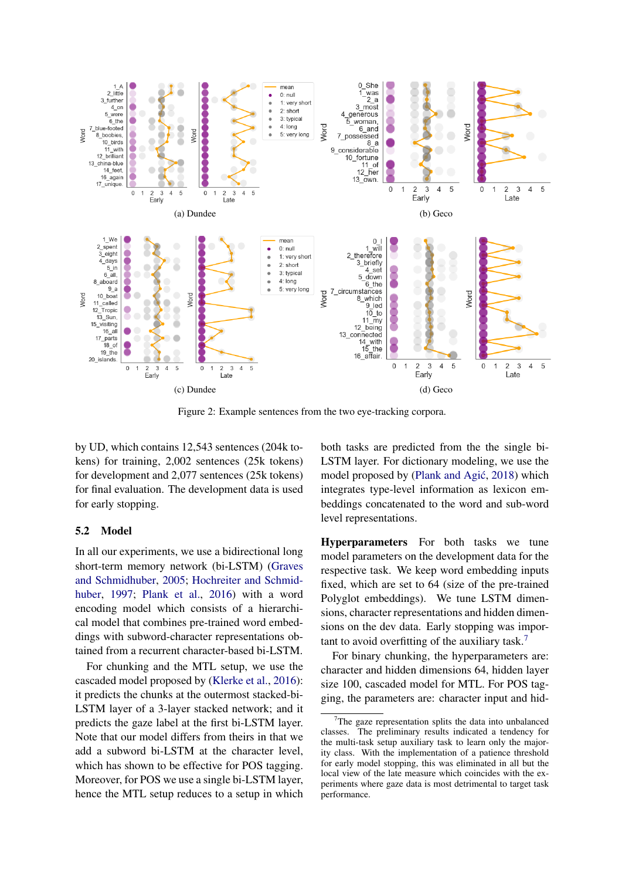<span id="page-5-1"></span>

Figure 2: Example sentences from the two eye-tracking corpora.

by UD, which contains 12,543 sentences (204k tokens) for training, 2,002 sentences (25k tokens) for development and 2,077 sentences (25k tokens) for final evaluation. The development data is used for early stopping.

#### <span id="page-5-0"></span>5.2 Model

In all our experiments, we use a bidirectional long short-term memory network (bi-LSTM) [\(Graves](#page-9-17) [and Schmidhuber,](#page-9-17) [2005;](#page-9-17) [Hochreiter and Schmid](#page-9-18)[huber,](#page-9-18) [1997;](#page-9-18) [Plank et al.,](#page-9-19) [2016\)](#page-9-19) with a word encoding model which consists of a hierarchical model that combines pre-trained word embeddings with subword-character representations obtained from a recurrent character-based bi-LSTM.

For chunking and the MTL setup, we use the cascaded model proposed by [\(Klerke et al.,](#page-9-0) [2016\)](#page-9-0): it predicts the chunks at the outermost stacked-bi-LSTM layer of a 3-layer stacked network; and it predicts the gaze label at the first bi-LSTM layer. Note that our model differs from theirs in that we add a subword bi-LSTM at the character level, which has shown to be effective for POS tagging. Moreover, for POS we use a single bi-LSTM layer, hence the MTL setup reduces to a setup in which both tasks are predicted from the the single bi-LSTM layer. For dictionary modeling, we use the model proposed by (Plank and Agić, [2018\)](#page-9-20) which integrates type-level information as lexicon embeddings concatenated to the word and sub-word level representations.

Hyperparameters For both tasks we tune model parameters on the development data for the respective task. We keep word embedding inputs fixed, which are set to 64 (size of the pre-trained Polyglot embeddings). We tune LSTM dimensions, character representations and hidden dimensions on the dev data. Early stopping was important to avoid overfitting of the auxiliary task. $\frac{7}{2}$  $\frac{7}{2}$  $\frac{7}{2}$ 

For binary chunking, the hyperparameters are: character and hidden dimensions 64, hidden layer size 100, cascaded model for MTL. For POS tagging, the parameters are: character input and hid-

<span id="page-5-2"></span>The gaze representation splits the data into unbalanced classes. The preliminary results indicated a tendency for the multi-task setup auxiliary task to learn only the majority class. With the implementation of a patience threshold for early model stopping, this was eliminated in all but the local view of the late measure which coincides with the experiments where gaze data is most detrimental to target task performance.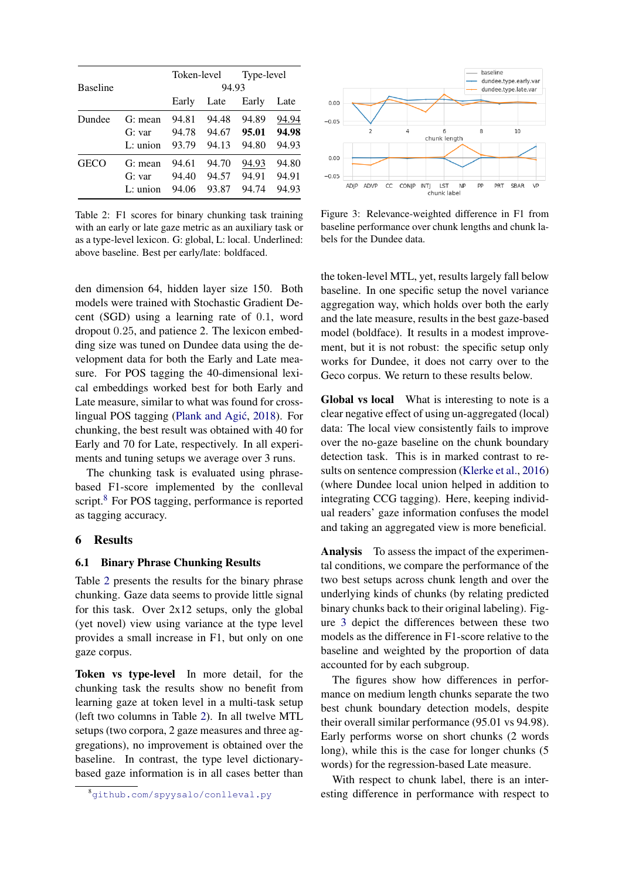<span id="page-6-2"></span>

|                 |            | Token-level |       | Type-level |       |
|-----------------|------------|-------------|-------|------------|-------|
| <b>Baseline</b> |            | 94.93       |       |            |       |
|                 |            | Early       | Late  | Early      | Late  |
| Dundee          | $G:$ mean  | 94.81       | 94.48 | 94.89      | 94.94 |
|                 | G: var     | 94.78       | 94.67 | 95.01      | 94.98 |
|                 | $L:$ union | 93.79       | 94.13 | 94.80      | 94.93 |
| <b>GECO</b>     | $G:$ mean  | 94.61       | 94.70 | 94.93      | 94.80 |
|                 | G: var     | 94.40       | 94.57 | 94.91      | 94.91 |
|                 | $L:$ union | 94.06       | 93.87 | 94.74      | 94.93 |

Table 2: F1 scores for binary chunking task training with an early or late gaze metric as an auxiliary task or as a type-level lexicon. G: global, L: local. Underlined: above baseline. Best per early/late: boldfaced.

den dimension 64, hidden layer size 150. Both models were trained with Stochastic Gradient Decent (SGD) using a learning rate of 0.1, word dropout 0.25, and patience 2. The lexicon embedding size was tuned on Dundee data using the development data for both the Early and Late measure. For POS tagging the 40-dimensional lexical embeddings worked best for both Early and Late measure, similar to what was found for cross-lingual POS tagging (Plank and Agić, [2018\)](#page-9-20). For chunking, the best result was obtained with 40 for Early and 70 for Late, respectively. In all experiments and tuning setups we average over 3 runs.

The chunking task is evaluated using phrasebased F1-score implemented by the conlleval script.<sup>[8](#page-6-1)</sup> For POS tagging, performance is reported as tagging accuracy.

#### <span id="page-6-0"></span>6 Results

#### 6.1 Binary Phrase Chunking Results

Table [2](#page-6-2) presents the results for the binary phrase chunking. Gaze data seems to provide little signal for this task. Over  $2x12$  setups, only the global (yet novel) view using variance at the type level provides a small increase in F1, but only on one gaze corpus.

Token vs type-level In more detail, for the chunking task the results show no benefit from learning gaze at token level in a multi-task setup (left two columns in Table [2\)](#page-6-2). In all twelve MTL setups (two corpora, 2 gaze measures and three aggregations), no improvement is obtained over the baseline. In contrast, the type level dictionarybased gaze information is in all cases better than

<span id="page-6-3"></span>

Figure 3: Relevance-weighted difference in F1 from baseline performance over chunk lengths and chunk labels for the Dundee data.

the token-level MTL, yet, results largely fall below baseline. In one specific setup the novel variance aggregation way, which holds over both the early and the late measure, results in the best gaze-based model (boldface). It results in a modest improvement, but it is not robust: the specific setup only works for Dundee, it does not carry over to the Geco corpus. We return to these results below.

Global vs local What is interesting to note is a clear negative effect of using un-aggregated (local) data: The local view consistently fails to improve over the no-gaze baseline on the chunk boundary detection task. This is in marked contrast to results on sentence compression [\(Klerke et al.,](#page-9-0) [2016\)](#page-9-0) (where Dundee local union helped in addition to integrating CCG tagging). Here, keeping individual readers' gaze information confuses the model and taking an aggregated view is more beneficial.

Analysis To assess the impact of the experimental conditions, we compare the performance of the two best setups across chunk length and over the underlying kinds of chunks (by relating predicted binary chunks back to their original labeling). Figure [3](#page-6-3) depict the differences between these two models as the difference in F1-score relative to the baseline and weighted by the proportion of data accounted for by each subgroup.

The figures show how differences in performance on medium length chunks separate the two best chunk boundary detection models, despite their overall similar performance (95.01 vs 94.98). Early performs worse on short chunks (2 words long), while this is the case for longer chunks (5 words) for the regression-based Late measure.

With respect to chunk label, there is an interesting difference in performance with respect to

<span id="page-6-1"></span><sup>8</sup><github.com/spyysalo/conlleval.py>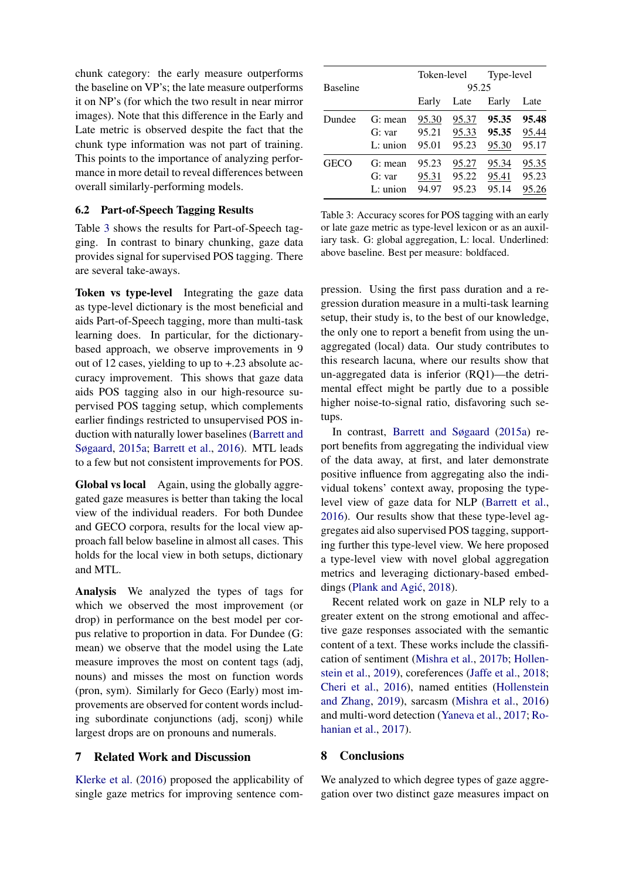chunk category: the early measure outperforms the baseline on VP's; the late measure outperforms it on NP's (for which the two result in near mirror images). Note that this difference in the Early and Late metric is observed despite the fact that the chunk type information was not part of training. This points to the importance of analyzing performance in more detail to reveal differences between overall similarly-performing models.

#### 6.2 Part-of-Speech Tagging Results

Table [3](#page-7-1) shows the results for Part-of-Speech tagging. In contrast to binary chunking, gaze data provides signal for supervised POS tagging. There are several take-aways.

Token vs type-level Integrating the gaze data as type-level dictionary is the most beneficial and aids Part-of-Speech tagging, more than multi-task learning does. In particular, for the dictionarybased approach, we observe improvements in 9 out of 12 cases, yielding to up to +.23 absolute accuracy improvement. This shows that gaze data aids POS tagging also in our high-resource supervised POS tagging setup, which complements earlier findings restricted to unsupervised POS induction with naturally lower baselines [\(Barrett and](#page-8-0) [Søgaard,](#page-8-0) [2015a;](#page-8-0) [Barrett et al.,](#page-8-2) [2016\)](#page-8-2). MTL leads to a few but not consistent improvements for POS.

Global vs local Again, using the globally aggregated gaze measures is better than taking the local view of the individual readers. For both Dundee and GECO corpora, results for the local view approach fall below baseline in almost all cases. This holds for the local view in both setups, dictionary and MTL.

Analysis We analyzed the types of tags for which we observed the most improvement (or drop) in performance on the best model per corpus relative to proportion in data. For Dundee (G: mean) we observe that the model using the Late measure improves the most on content tags (adj, nouns) and misses the most on function words (pron, sym). Similarly for Geco (Early) most improvements are observed for content words including subordinate conjunctions (adj, sconj) while largest drops are on pronouns and numerals.

## <span id="page-7-0"></span>7 Related Work and Discussion

[Klerke et al.](#page-9-0) [\(2016\)](#page-9-0) proposed the applicability of single gaze metrics for improving sentence com-

<span id="page-7-1"></span>

|                 |            | Token-level |       | Type-level |       |
|-----------------|------------|-------------|-------|------------|-------|
| <b>Baseline</b> |            | 95.25       |       |            |       |
|                 |            | Early       | Late  | Early      | Late  |
| Dundee          | $G:$ mean  | 95.30       | 95.37 | 95.35      | 95.48 |
|                 | G: var     | 95.21       | 95.33 | 95.35      | 95.44 |
|                 | $L:$ union | 95.01       | 95.23 | 95.30      | 95.17 |
| GECO            | $G:$ mean  | 95.23       | 95.27 | 95.34      | 95.35 |
|                 | G: var     | 95.31       | 95.22 | 95.41      | 95.23 |
|                 | $L:$ union | 94.97       | 95.23 | 95.14      | 95.26 |

Table 3: Accuracy scores for POS tagging with an early or late gaze metric as type-level lexicon or as an auxiliary task. G: global aggregation, L: local. Underlined: above baseline. Best per measure: boldfaced.

pression. Using the first pass duration and a regression duration measure in a multi-task learning setup, their study is, to the best of our knowledge, the only one to report a benefit from using the unaggregated (local) data. Our study contributes to this research lacuna, where our results show that un-aggregated data is inferior (RQ1)—the detrimental effect might be partly due to a possible higher noise-to-signal ratio, disfavoring such setups.

In contrast, [Barrett and Søgaard](#page-8-0) [\(2015a\)](#page-8-0) report benefits from aggregating the individual view of the data away, at first, and later demonstrate positive influence from aggregating also the individual tokens' context away, proposing the typelevel view of gaze data for NLP [\(Barrett et al.,](#page-8-2) [2016\)](#page-8-2). Our results show that these type-level aggregates aid also supervised POS tagging, supporting further this type-level view. We here proposed a type-level view with novel global aggregation metrics and leveraging dictionary-based embed-dings (Plank and Agić, [2018\)](#page-9-20).

Recent related work on gaze in NLP rely to a greater extent on the strong emotional and affective gaze responses associated with the semantic content of a text. These works include the classification of sentiment [\(Mishra et al.,](#page-9-21) [2017b;](#page-9-21) [Hollen](#page-9-5)[stein et al.,](#page-9-5) [2019\)](#page-9-5), coreferences [\(Jaffe et al.,](#page-9-4) [2018;](#page-9-4) [Cheri et al.,](#page-8-9) [2016\)](#page-8-9), named entities [\(Hollenstein](#page-9-6) [and Zhang,](#page-9-6) [2019\)](#page-9-6), sarcasm [\(Mishra et al.,](#page-9-22) [2016\)](#page-9-22) and multi-word detection [\(Yaneva et al.,](#page-10-2) [2017;](#page-10-2) [Ro](#page-10-3)[hanian et al.,](#page-10-3) [2017\)](#page-10-3).

## 8 Conclusions

We analyzed to which degree types of gaze aggregation over two distinct gaze measures impact on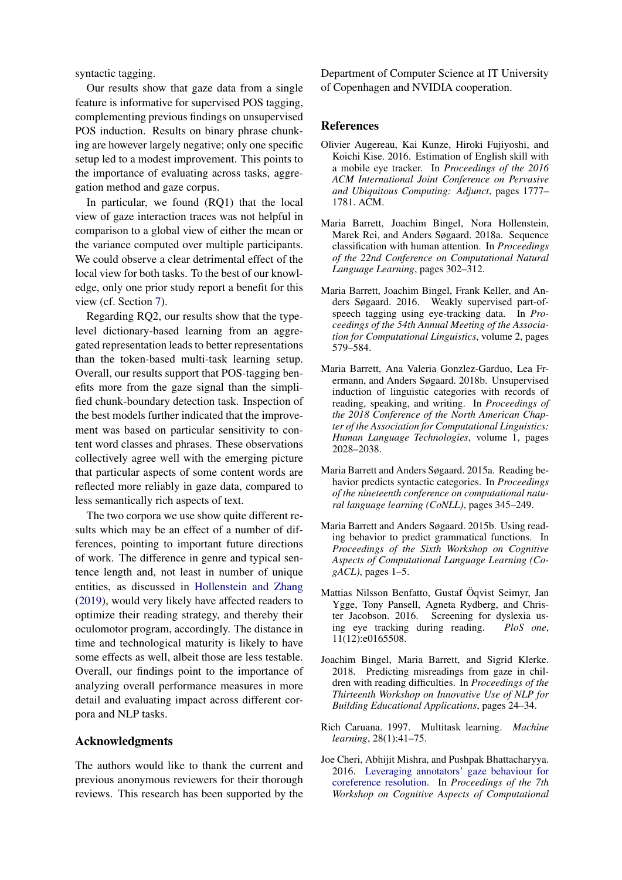syntactic tagging.

Our results show that gaze data from a single feature is informative for supervised POS tagging, complementing previous findings on unsupervised POS induction. Results on binary phrase chunking are however largely negative; only one specific setup led to a modest improvement. This points to the importance of evaluating across tasks, aggregation method and gaze corpus.

In particular, we found (RQ1) that the local view of gaze interaction traces was not helpful in comparison to a global view of either the mean or the variance computed over multiple participants. We could observe a clear detrimental effect of the local view for both tasks. To the best of our knowledge, only one prior study report a benefit for this view (cf. Section [7\)](#page-7-0).

Regarding RQ2, our results show that the typelevel dictionary-based learning from an aggregated representation leads to better representations than the token-based multi-task learning setup. Overall, our results support that POS-tagging benefits more from the gaze signal than the simplified chunk-boundary detection task. Inspection of the best models further indicated that the improvement was based on particular sensitivity to content word classes and phrases. These observations collectively agree well with the emerging picture that particular aspects of some content words are reflected more reliably in gaze data, compared to less semantically rich aspects of text.

The two corpora we use show quite different results which may be an effect of a number of differences, pointing to important future directions of work. The difference in genre and typical sentence length and, not least in number of unique entities, as discussed in [Hollenstein and Zhang](#page-9-6) [\(2019\)](#page-9-6), would very likely have affected readers to optimize their reading strategy, and thereby their oculomotor program, accordingly. The distance in time and technological maturity is likely to have some effects as well, albeit those are less testable. Overall, our findings point to the importance of analyzing overall performance measures in more detail and evaluating impact across different corpora and NLP tasks.

#### Acknowledgments

The authors would like to thank the current and previous anonymous reviewers for their thorough reviews. This research has been supported by the Department of Computer Science at IT University of Copenhagen and NVIDIA cooperation.

#### References

- <span id="page-8-6"></span>Olivier Augereau, Kai Kunze, Hiroki Fujiyoshi, and Koichi Kise. 2016. Estimation of English skill with a mobile eye tracker. In *Proceedings of the 2016 ACM International Joint Conference on Pervasive and Ubiquitous Computing: Adjunct*, pages 1777– 1781. ACM.
- <span id="page-8-3"></span>Maria Barrett, Joachim Bingel, Nora Hollenstein, Marek Rei, and Anders Søgaard. 2018a. Sequence classification with human attention. In *Proceedings of the 22nd Conference on Computational Natural Language Learning*, pages 302–312.
- <span id="page-8-2"></span>Maria Barrett, Joachim Bingel, Frank Keller, and Anders Søgaard. 2016. Weakly supervised part-ofspeech tagging using eye-tracking data. In *Proceedings of the 54th Annual Meeting of the Association for Computational Linguistics*, volume 2, pages 579–584.
- <span id="page-8-1"></span>Maria Barrett, Ana Valeria Gonzlez-Garduo, Lea Frermann, and Anders Søgaard. 2018b. Unsupervised induction of linguistic categories with records of reading, speaking, and writing. In *Proceedings of the 2018 Conference of the North American Chapter of the Association for Computational Linguistics: Human Language Technologies*, volume 1, pages 2028–2038.
- <span id="page-8-0"></span>Maria Barrett and Anders Søgaard. 2015a. Reading behavior predicts syntactic categories. In *Proceedings of the nineteenth conference on computational natural language learning (CoNLL)*, pages 345–249.
- <span id="page-8-5"></span>Maria Barrett and Anders Søgaard. 2015b. Using reading behavior to predict grammatical functions. In *Proceedings of the Sixth Workshop on Cognitive Aspects of Computational Language Learning (CogACL)*, pages 1–5.
- <span id="page-8-4"></span>Mattias Nilsson Benfatto, Gustaf Oqvist Seimyr, Jan ¨ Ygge, Tony Pansell, Agneta Rydberg, and Christer Jacobson. 2016. Screening for dyslexia using eye tracking during reading. *PloS one*, 11(12):e0165508.
- <span id="page-8-7"></span>Joachim Bingel, Maria Barrett, and Sigrid Klerke. 2018. Predicting misreadings from gaze in children with reading difficulties. In *Proceedings of the Thirteenth Workshop on Innovative Use of NLP for Building Educational Applications*, pages 24–34.
- <span id="page-8-8"></span>Rich Caruana. 1997. Multitask learning. *Machine learning*, 28(1):41–75.
- <span id="page-8-9"></span>Joe Cheri, Abhijit Mishra, and Pushpak Bhattacharyya. 2016. [Leveraging annotators' gaze behaviour for](https://doi.org/10.18653/v1/W16-1904) [coreference resolution.](https://doi.org/10.18653/v1/W16-1904) In *Proceedings of the 7th Workshop on Cognitive Aspects of Computational*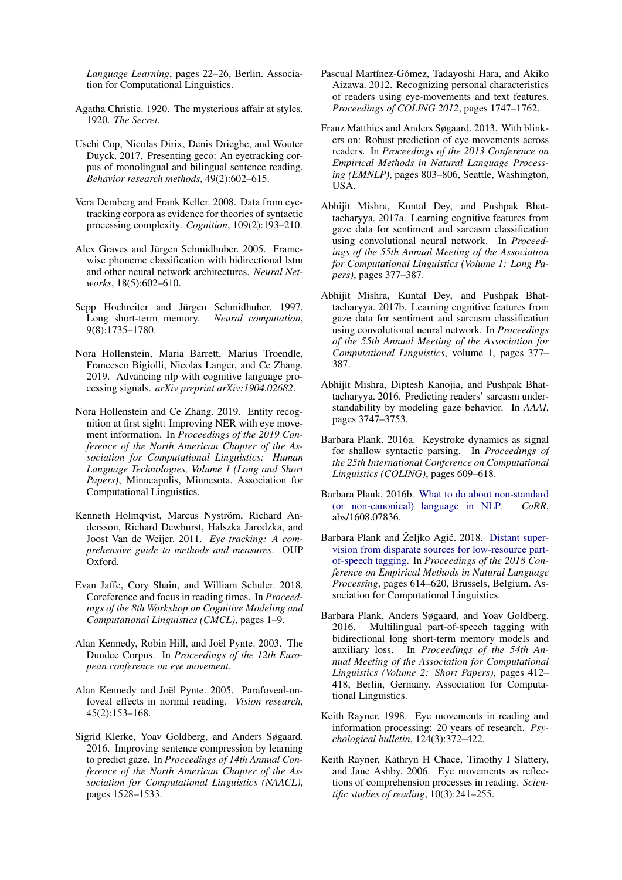*Language Learning*, pages 22–26, Berlin. Association for Computational Linguistics.

- <span id="page-9-15"></span>Agatha Christie. 1920. The mysterious affair at styles. 1920. *The Secret*.
- <span id="page-9-13"></span>Uschi Cop, Nicolas Dirix, Denis Drieghe, and Wouter Duyck. 2017. Presenting geco: An eyetracking corpus of monolingual and bilingual sentence reading. *Behavior research methods*, 49(2):602–615.
- <span id="page-9-11"></span>Vera Demberg and Frank Keller. 2008. Data from eyetracking corpora as evidence for theories of syntactic processing complexity. *Cognition*, 109(2):193–210.
- <span id="page-9-17"></span>Alex Graves and Jürgen Schmidhuber. 2005. Framewise phoneme classification with bidirectional lstm and other neural network architectures. *Neural Networks*, 18(5):602–610.
- <span id="page-9-18"></span>Sepp Hochreiter and Jürgen Schmidhuber. 1997. Long short-term memory. *Neural computation*, 9(8):1735–1780.
- <span id="page-9-5"></span>Nora Hollenstein, Maria Barrett, Marius Troendle, Francesco Bigiolli, Nicolas Langer, and Ce Zhang. 2019. Advancing nlp with cognitive language processing signals. *arXiv preprint arXiv:1904.02682*.
- <span id="page-9-6"></span>Nora Hollenstein and Ce Zhang. 2019. Entity recognition at first sight: Improving NER with eye movement information. In *Proceedings of the 2019 Conference of the North American Chapter of the Association for Computational Linguistics: Human Language Technologies, Volume 1 (Long and Short Papers)*, Minneapolis, Minnesota. Association for Computational Linguistics.
- <span id="page-9-7"></span>Kenneth Holmqvist, Marcus Nyström, Richard Andersson, Richard Dewhurst, Halszka Jarodzka, and Joost Van de Weijer. 2011. *Eye tracking: A comprehensive guide to methods and measures*. OUP Oxford.
- <span id="page-9-4"></span>Evan Jaffe, Cory Shain, and William Schuler. 2018. Coreference and focus in reading times. In *Proceedings of the 8th Workshop on Cognitive Modeling and Computational Linguistics (CMCL)*, pages 1–9.
- <span id="page-9-12"></span>Alan Kennedy, Robin Hill, and Joël Pynte. 2003. The Dundee Corpus. In *Proceedings of the 12th European conference on eye movement*.
- <span id="page-9-14"></span>Alan Kennedy and Joël Pynte. 2005. Parafoveal-onfoveal effects in normal reading. *Vision research*, 45(2):153–168.
- <span id="page-9-0"></span>Sigrid Klerke, Yoav Goldberg, and Anders Søgaard. 2016. Improving sentence compression by learning to predict gaze. In *Proceedings of 14th Annual Conference of the North American Chapter of the Association for Computational Linguistics (NAACL)*, pages 1528–1533.
- <span id="page-9-8"></span>Pascual Martínez-Gómez, Tadayoshi Hara, and Akiko Aizawa. 2012. Recognizing personal characteristics of readers using eye-movements and text features. *Proceedings of COLING 2012*, pages 1747–1762.
- <span id="page-9-9"></span>Franz Matthies and Anders Søgaard. 2013. With blinkers on: Robust prediction of eye movements across readers. In *Proceedings of the 2013 Conference on Empirical Methods in Natural Language Processing (EMNLP)*, pages 803–806, Seattle, Washington, **IISA**
- <span id="page-9-3"></span>Abhijit Mishra, Kuntal Dey, and Pushpak Bhattacharyya. 2017a. Learning cognitive features from gaze data for sentiment and sarcasm classification using convolutional neural network. In *Proceedings of the 55th Annual Meeting of the Association for Computational Linguistics (Volume 1: Long Papers)*, pages 377–387.
- <span id="page-9-21"></span>Abhijit Mishra, Kuntal Dey, and Pushpak Bhattacharyya. 2017b. Learning cognitive features from gaze data for sentiment and sarcasm classification using convolutional neural network. In *Proceedings of the 55th Annual Meeting of the Association for Computational Linguistics*, volume 1, pages 377– 387.
- <span id="page-9-22"></span>Abhijit Mishra, Diptesh Kanojia, and Pushpak Bhattacharyya. 2016. Predicting readers' sarcasm understandability by modeling gaze behavior. In *AAAI*, pages 3747–3753.
- <span id="page-9-1"></span>Barbara Plank. 2016a. Keystroke dynamics as signal for shallow syntactic parsing. In *Proceedings of the 25th International Conference on Computational Linguistics (COLING)*, pages 609–618.
- <span id="page-9-2"></span>Barbara Plank. 2016b. [What to do about non-standard](http://arxiv.org/abs/1608.07836) [\(or non-canonical\) language in NLP.](http://arxiv.org/abs/1608.07836) *CoRR*, abs/1608.07836.
- <span id="page-9-20"></span>Barbara Plank and Željko Agić. 2018. [Distant super](https://www.aclweb.org/anthology/D18-1061)[vision from disparate sources for low-resource part](https://www.aclweb.org/anthology/D18-1061)[of-speech tagging.](https://www.aclweb.org/anthology/D18-1061) In *Proceedings of the 2018 Conference on Empirical Methods in Natural Language Processing*, pages 614–620, Brussels, Belgium. Association for Computational Linguistics.
- <span id="page-9-19"></span>Barbara Plank, Anders Søgaard, and Yoav Goldberg. 2016. Multilingual part-of-speech tagging with bidirectional long short-term memory models and auxiliary loss. In *Proceedings of the 54th Annual Meeting of the Association for Computational Linguistics (Volume 2: Short Papers)*, pages 412– 418, Berlin, Germany. Association for Computational Linguistics.
- <span id="page-9-16"></span>Keith Rayner. 1998. Eye movements in reading and information processing: 20 years of research. *Psychological bulletin*, 124(3):372–422.
- <span id="page-9-10"></span>Keith Rayner, Kathryn H Chace, Timothy J Slattery, and Jane Ashby. 2006. Eye movements as reflections of comprehension processes in reading. *Scientific studies of reading*, 10(3):241–255.